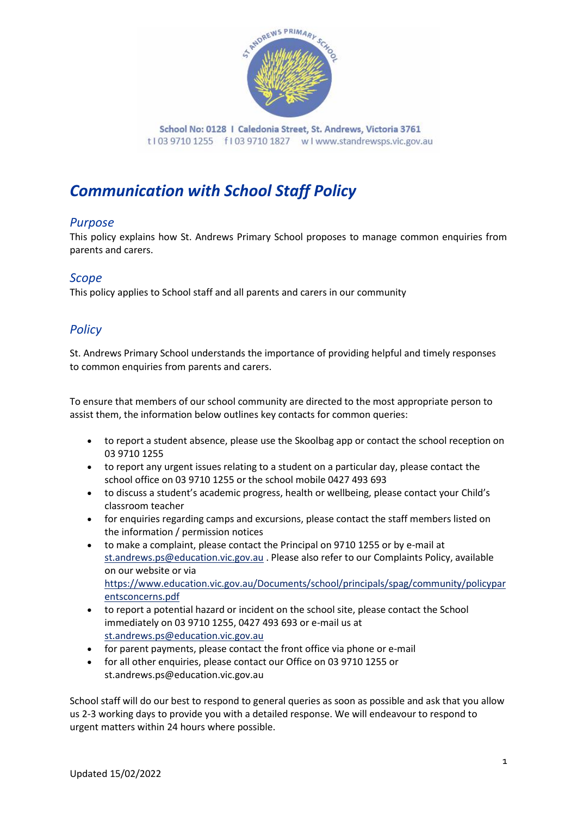

School No: 0128 | Caledonia Street, St. Andrews, Victoria 3761 t103 9710 1255 f103 9710 1827 wlwww.standrewsps.vic.gov.au

# *Communication with School Staff Policy*

## *Purpose*

This policy explains how St. Andrews Primary School proposes to manage common enquiries from parents and carers.

### *Scope*

This policy applies to School staff and all parents and carers in our community

# *Policy*

St. Andrews Primary School understands the importance of providing helpful and timely responses to common enquiries from parents and carers.

To ensure that members of our school community are directed to the most appropriate person to assist them, the information below outlines key contacts for common queries:

- to report a student absence, please use the Skoolbag app or contact the school reception on 03 9710 1255
- to report any urgent issues relating to a student on a particular day, please contact the school office on 03 9710 1255 or the school mobile 0427 493 693
- to discuss a student's academic progress, health or wellbeing, please contact your Child's classroom teacher
- for enquiries regarding camps and excursions, please contact the staff members listed on the information / permission notices
- to make a complaint, please contact the Principal on 9710 1255 or by e-mail at [st.andrews.ps@education.vic.gov.au](mailto:st.andrews.ps@education.vic.gov.au) . Please also refer to our Complaints Policy, available on our website or via [https://www.education.vic.gov.au/Documents/school/principals/spag/community/policypar](https://www.education.vic.gov.au/Documents/school/principals/spag/community/policyparentsconcerns.pdf) [entsconcerns.pdf](https://www.education.vic.gov.au/Documents/school/principals/spag/community/policyparentsconcerns.pdf)
- to report a potential hazard or incident on the school site, please contact the School immediately on 03 9710 1255, 0427 493 693 or e-mail us at [st.andrews.ps@education.vic.gov.au](mailto:st.andrews.ps@education.vic.gov.au)
- for parent payments, please contact the front office via phone or e-mail
- for all other enquiries, please contact our Office on 03 9710 1255 or st.andrews.ps@education.vic.gov.au

School staff will do our best to respond to general queries as soon as possible and ask that you allow us 2-3 working days to provide you with a detailed response. We will endeavour to respond to urgent matters within 24 hours where possible.